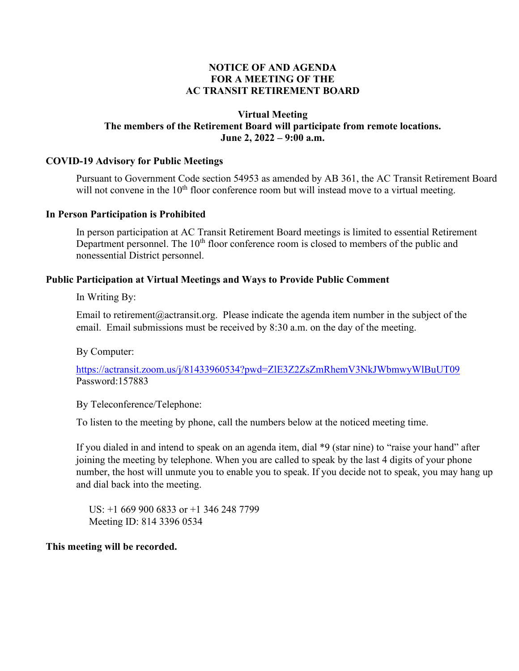## **NOTICE OF AND AGENDA FOR A MEETING OF THE AC TRANSIT RETIREMENT BOARD**

## **Virtual Meeting The members of the Retirement Board will participate from remote locations. June 2, 2022 – 9:00 a.m.**

## **COVID-19 Advisory for Public Meetings**

Pursuant to Government Code section 54953 as amended by AB 361, the AC Transit Retirement Board will not convene in the  $10<sup>th</sup>$  floor conference room but will instead move to a virtual meeting.

#### **In Person Participation is Prohibited**

In person participation at AC Transit Retirement Board meetings is limited to essential Retirement Department personnel. The  $10<sup>th</sup>$  floor conference room is closed to members of the public and nonessential District personnel.

## **Public Participation at Virtual Meetings and Ways to Provide Public Comment**

In Writing By:

Email to retirement@actransit.org. Please indicate the agenda item number in the subject of the email. Email submissions must be received by 8:30 a.m. on the day of the meeting.

By Computer:

<https://actransit.zoom.us/j/81433960534?pwd=ZlE3Z2ZsZmRhemV3NkJWbmwyWlBuUT09> Password:157883

By Teleconference/Telephone:

To listen to the meeting by phone, call the numbers below at the noticed meeting time.

If you dialed in and intend to speak on an agenda item, dial \*9 (star nine) to "raise your hand" after joining the meeting by telephone. When you are called to speak by the last 4 digits of your phone number, the host will unmute you to enable you to speak. If you decide not to speak, you may hang up and dial back into the meeting.

 US: +1 669 900 6833 or +1 346 248 7799 Meeting ID: 814 3396 0534

## **This meeting will be recorded.**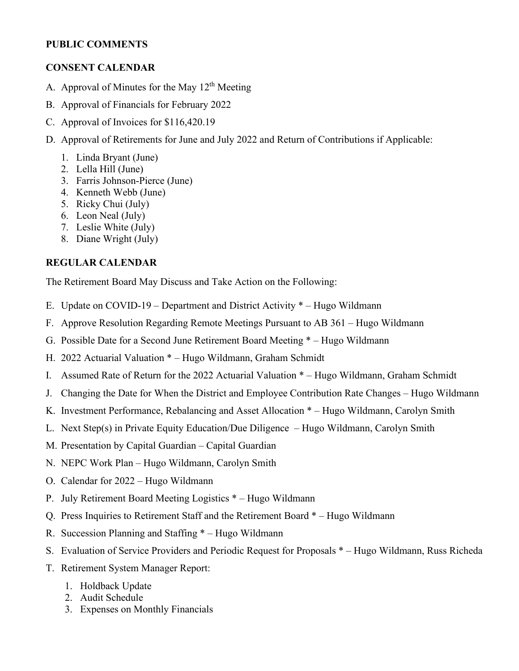## **PUBLIC COMMENTS**

# **CONSENT CALENDAR**

- A. Approval of Minutes for the May  $12<sup>th</sup>$  Meeting
- B. Approval of Financials for February 2022
- C. Approval of Invoices for \$116,420.19
- D. Approval of Retirements for June and July 2022 and Return of Contributions if Applicable:
	- 1. Linda Bryant (June)
	- 2. Lella Hill (June)
	- 3. Farris Johnson-Pierce (June)
	- 4. Kenneth Webb (June)
	- 5. Ricky Chui (July)
	- 6. Leon Neal (July)
	- 7. Leslie White (July)
	- 8. Diane Wright (July)

# **REGULAR CALENDAR**

The Retirement Board May Discuss and Take Action on the Following:

- E. Update on COVID-19 Department and District Activity \* Hugo Wildmann
- F. Approve Resolution Regarding Remote Meetings Pursuant to AB 361 Hugo Wildmann
- G. Possible Date for a Second June Retirement Board Meeting \* Hugo Wildmann
- H. 2022 Actuarial Valuation \* Hugo Wildmann, Graham Schmidt
- I. Assumed Rate of Return for the 2022 Actuarial Valuation \* Hugo Wildmann, Graham Schmidt
- J. Changing the Date for When the District and Employee Contribution Rate Changes Hugo Wildmann
- K. Investment Performance, Rebalancing and Asset Allocation \* Hugo Wildmann, Carolyn Smith
- L. Next Step(s) in Private Equity Education/Due Diligence Hugo Wildmann, Carolyn Smith
- M. Presentation by Capital Guardian Capital Guardian
- N. NEPC Work Plan Hugo Wildmann, Carolyn Smith
- O. Calendar for 2022 Hugo Wildmann
- P. July Retirement Board Meeting Logistics \* Hugo Wildmann
- Q. Press Inquiries to Retirement Staff and the Retirement Board \* Hugo Wildmann
- R. Succession Planning and Staffing \* Hugo Wildmann
- S. Evaluation of Service Providers and Periodic Request for Proposals \* Hugo Wildmann, Russ Richeda
- T. Retirement System Manager Report:
	- 1. Holdback Update
	- 2. Audit Schedule
	- 3. Expenses on Monthly Financials